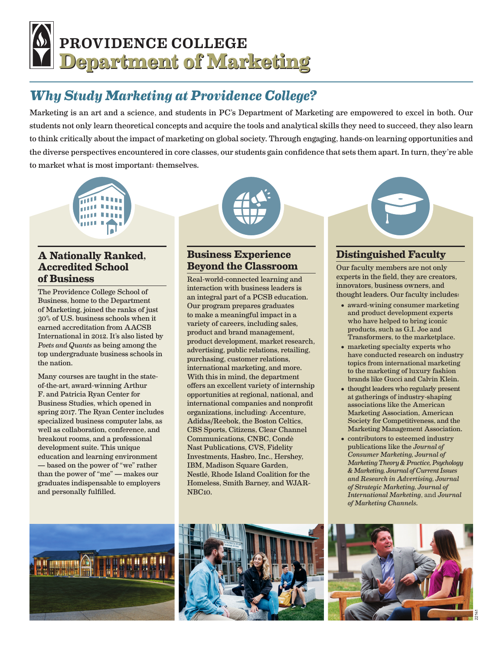# **Department of Marketing Department of Marketing**PROVIDENCE COLLEGE

## *Why Study Marketing at Providence College?*

Marketing is an art and a science, and students in PC's Department of Marketing are empowered to excel in both. Our students not only learn theoretical concepts and acquire the tools and analytical skills they need to succeed, they also learn to think critically about the impact of marketing on global society. Through engaging, hands-on learning opportunities and the diverse perspectives encountered in core classes, our students gain confidence that sets them apart. In turn, they're able to market what is most important: themselves.



#### **A Nationally Ranked, Accredited School of Business**

The Providence College School of Business, home to the Department of Marketing, joined the ranks of just 30% of U.S. business schools when it earned accreditation from AACSB International in 2012. It's also listed by *Poets and Quants* as being among the top undergraduate business schools in the nation.

Many courses are taught in the stateof-the-art, award-winning Arthur F. and Patricia Ryan Center for Business Studies, which opened in spring 2017. The Ryan Center includes specialized business computer labs, as well as collaboration, conference, and breakout rooms, and a professional development suite. This unique education and learning environment — based on the power of "we" rather than the power of "me" — makes our graduates indispensable to employers and personally fulfilled.



#### **Business Experience Beyond the Classroom**

Real-world-connected learning and interaction with business leaders is an integral part of a PCSB education. Our program prepares graduates to make a meaningful impact in a variety of careers, including sales, product and brand management, product development, market research, advertising, public relations, retailing, purchasing, customer relations, international marketing, and more. With this in mind, the department offers an excellent variety of internship opportunities at regional, national, and international companies and nonprofit organizations, including: Accenture, Adidas/Reebok, the Boston Celtics, CBS Sports, Citizens, Clear Channel Communications, CNBC, Condè Nast Publications, CVS, Fidelity Investments, Hasbro, Inc., Hershey, IBM, Madison Square Garden, Nestlé, Rhode Island Coalition for the Homeless, Smith Barney, and WJAR-NBC10.



#### **Distinguished Faculty**

Our faculty members are not only experts in the field, they are creators, innovators, business owners, and thought leaders. Our faculty includes:

- award-wining consumer marketing and product development experts who have helped to bring iconic products, such as G.I. Joe and Transformers, to the marketplace.
- marketing specialty experts who have conducted research on industry topics from international marketing to the marketing of luxury fashion brands like Gucci and Calvin Klein.
- thought leaders who regularly present at gatherings of industry-shaping associations like the American Marketing Association, American Society for Competitiveness, and the Marketing Management Association.
- contributors to esteemed industry publications like the *Journal of Consumer Marketing, Journal of Marketing Theory & Practice, Psychology & Marketing, Journal of Current Issues and Research in Advertising, Journal of Strategic Marketing, Journal of International Marketing*, and *Journal of Marketing Channels.*